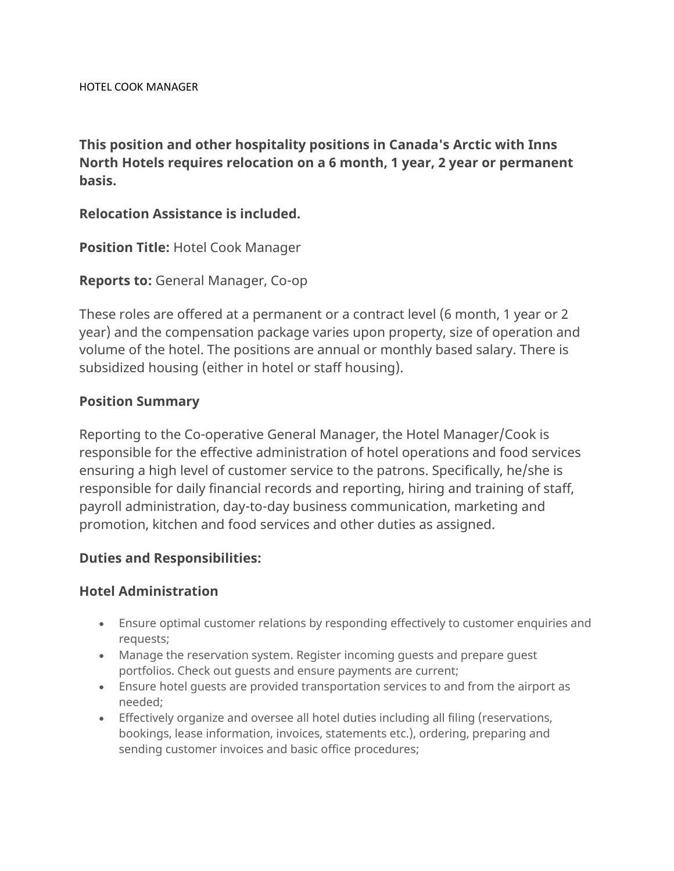**This position and other hospitality positions in Canada's Arctic with Inns North Hotels requires relocation on a 6 month, 1 year, 2 year or permanent basis.**

### **Relocation Assistance is included.**

**Position Title:** Hotel Cook Manager

**Reports to:** General Manager, Co-op

These roles are offered at a permanent or a contract level (6 month, 1 year or 2 year) and the compensation package varies upon property, size of operation and volume of the hotel. The positions are annual or monthly based salary. There is subsidized housing (either in hotel or staff housing).

### **Position Summary**

Reporting to the Co-operative General Manager, the Hotel Manager/Cook is responsible for the effective administration of hotel operations and food services ensuring a high level of customer service to the patrons. Specifically, he/she is responsible for daily financial records and reporting, hiring and training of staff, payroll administration, day-to-day business communication, marketing and promotion, kitchen and food services and other duties as assigned.

## **Duties and Responsibilities:**

#### **Hotel Administration**

- Ensure optimal customer relations by responding effectively to customer enquiries and requests;
- Manage the reservation system. Register incoming guests and prepare guest portfolios. Check out guests and ensure payments are current;
- Ensure hotel guests are provided transportation services to and from the airport as needed;
- Effectively organize and oversee all hotel duties including all filing (reservations, bookings, lease information, invoices, statements etc.), ordering, preparing and sending customer invoices and basic office procedures;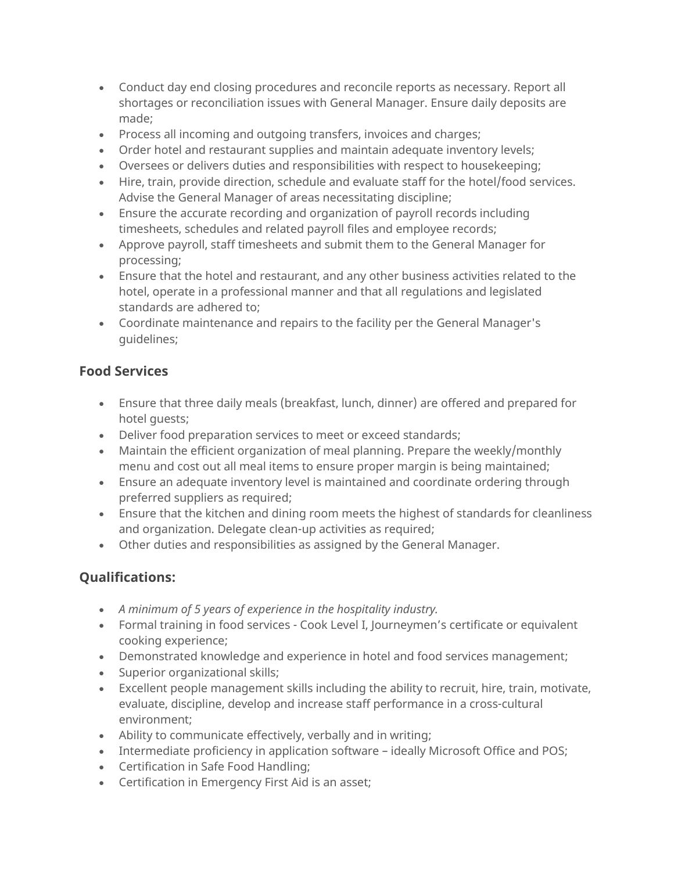- Conduct day end closing procedures and reconcile reports as necessary. Report all shortages or reconciliation issues with General Manager. Ensure daily deposits are made;
- Process all incoming and outgoing transfers, invoices and charges;
- Order hotel and restaurant supplies and maintain adequate inventory levels;
- Oversees or delivers duties and responsibilities with respect to housekeeping;
- Hire, train, provide direction, schedule and evaluate staff for the hotel/food services. Advise the General Manager of areas necessitating discipline;
- Ensure the accurate recording and organization of payroll records including timesheets, schedules and related payroll files and employee records;
- Approve payroll, staff timesheets and submit them to the General Manager for processing;
- Ensure that the hotel and restaurant, and any other business activities related to the hotel, operate in a professional manner and that all regulations and legislated standards are adhered to;
- Coordinate maintenance and repairs to the facility per the General Manager's guidelines;

# **Food Services**

- Ensure that three daily meals (breakfast, lunch, dinner) are offered and prepared for hotel guests;
- Deliver food preparation services to meet or exceed standards;
- Maintain the efficient organization of meal planning. Prepare the weekly/monthly menu and cost out all meal items to ensure proper margin is being maintained;
- Ensure an adequate inventory level is maintained and coordinate ordering through preferred suppliers as required;
- Ensure that the kitchen and dining room meets the highest of standards for cleanliness and organization. Delegate clean-up activities as required;
- Other duties and responsibilities as assigned by the General Manager.

# **Qualifications:**

- *A minimum of 5 years of experience in the hospitality industry.*
- Formal training in food services Cook Level I, Journeymen's certificate or equivalent cooking experience;
- Demonstrated knowledge and experience in hotel and food services management;
- Superior organizational skills;
- Excellent people management skills including the ability to recruit, hire, train, motivate, evaluate, discipline, develop and increase staff performance in a cross-cultural environment;
- Ability to communicate effectively, verbally and in writing;
- Intermediate proficiency in application software ideally Microsoft Office and POS;
- Certification in Safe Food Handling;
- Certification in Emergency First Aid is an asset;